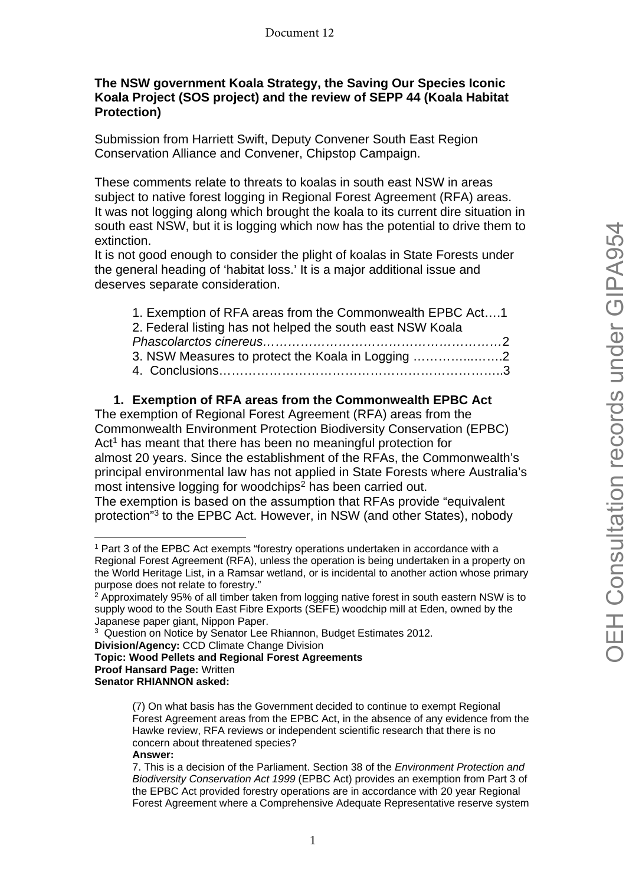# **The NSW government Koala Strategy, the Saving Our Species Iconic Koala Project (SOS project) and the review of SEPP 44 (Koala Habitat Protection)**

Submission from Harriett Swift, Deputy Convener South East Region Conservation Alliance and Convener, Chipstop Campaign.

These comments relate to threats to koalas in south east NSW in areas subject to native forest logging in Regional Forest Agreement (RFA) areas. It was not logging along which brought the koala to its current dire situation in south east NSW, but it is logging which now has the potential to drive them to extinction.

It is not good enough to consider the plight of koalas in State Forests under the general heading of 'habitat loss.' It is a major additional issue and deserves separate consideration.

| 1. Exemption of RFA areas from the Commonwealth EPBC Act1  |  |
|------------------------------------------------------------|--|
| 2. Federal listing has not helped the south east NSW Koala |  |
|                                                            |  |
| 3. NSW Measures to protect the Koala in Logging            |  |
|                                                            |  |
|                                                            |  |

# **1. Exemption of RFA areas from the Commonwealth EPBC Act**

The exemption of Regional Forest Agreement (RFA) areas from the Commonwealth Environment Protection Biodiversity Conservation (EPBC) Act<sup>1</sup> has meant that there has been no meaningful protection for almost 20 years. Since the establishment of the RFAs, the Commonwealth's principal environmental law has not applied in State Forests where Australia's most intensive logging for woodchips<sup>2</sup> has been carried out.

The exemption is based on the assumption that RFAs provide "equivalent protection"3 to the EPBC Act. However, in NSW (and other States), nobody

**Topic: Wood Pellets and Regional Forest Agreements** 

#### **Answer:**

<sup>1</sup> Part 3 of the EPBC Act exempts "forestry operations undertaken in accordance with a Regional Forest Agreement (RFA), unless the operation is being undertaken in a property on the World Heritage List, in a Ramsar wetland, or is incidental to another action whose primary purpose does not relate to forestry."

 $2$  Approximately 95% of all timber taken from logging native forest in south eastern NSW is to supply wood to the South East Fibre Exports (SEFE) woodchip mill at Eden, owned by the Japanese paper giant, Nippon Paper.

<sup>&</sup>lt;sup>3</sup> Question on Notice by Senator Lee Rhiannon, Budget Estimates 2012.

**Division/Agency:** CCD Climate Change Division

**Proof Hansard Page:** Written

**Senator RHIANNON asked:**

<sup>(7)</sup> On what basis has the Government decided to continue to exempt Regional Forest Agreement areas from the EPBC Act, in the absence of any evidence from the Hawke review, RFA reviews or independent scientific research that there is no concern about threatened species?

<sup>7.</sup> This is a decision of the Parliament. Section 38 of the *Environment Protection and Biodiversity Conservation Act 1999* (EPBC Act) provides an exemption from Part 3 of the EPBC Act provided forestry operations are in accordance with 20 year Regional Forest Agreement where a Comprehensive Adequate Representative reserve system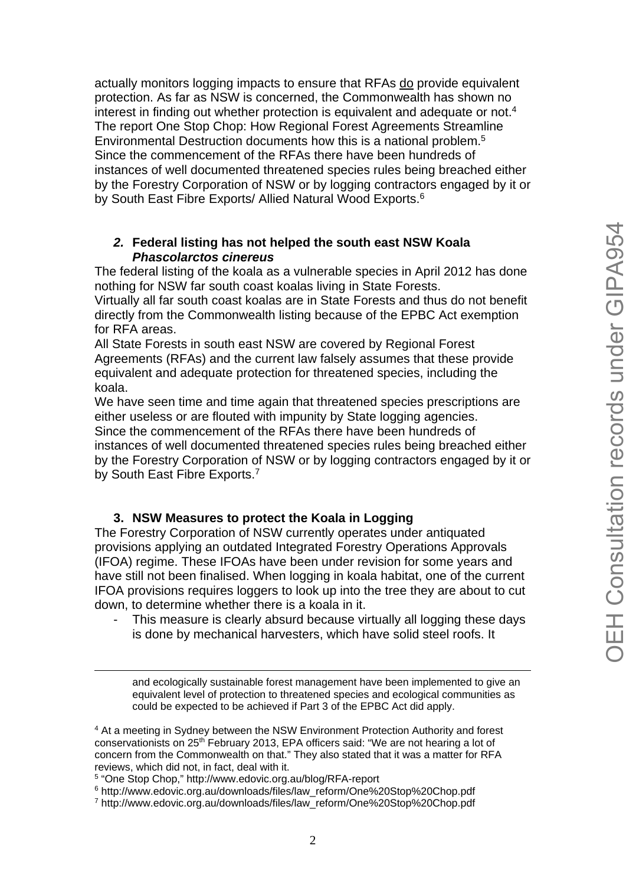actually monitors logging impacts to ensure that RFAs do provide equivalent protection. As far as NSW is concerned, the Commonwealth has shown no interest in finding out whether protection is equivalent and adequate or not.4 The report One Stop Chop: How Regional Forest Agreements Streamline Environmental Destruction documents how this is a national problem.5 Since the commencement of the RFAs there have been hundreds of instances of well documented threatened species rules being breached either by the Forestry Corporation of NSW or by logging contractors engaged by it or by South East Fibre Exports/ Allied Natural Wood Exports.<sup>6</sup>

#### *2.* **Federal listing has not helped the south east NSW Koala**  *Phascolarctos cinereus*

The federal listing of the koala as a vulnerable species in April 2012 has done nothing for NSW far south coast koalas living in State Forests.

Virtually all far south coast koalas are in State Forests and thus do not benefit directly from the Commonwealth listing because of the EPBC Act exemption for RFA areas.

All State Forests in south east NSW are covered by Regional Forest Agreements (RFAs) and the current law falsely assumes that these provide equivalent and adequate protection for threatened species, including the koala.

We have seen time and time again that threatened species prescriptions are either useless or are flouted with impunity by State logging agencies. Since the commencement of the RFAs there have been hundreds of instances of well documented threatened species rules being breached either by the Forestry Corporation of NSW or by logging contractors engaged by it or by South East Fibre Exports.<sup>7</sup>

### **3. NSW Measures to protect the Koala in Logging**

The Forestry Corporation of NSW currently operates under antiquated provisions applying an outdated Integrated Forestry Operations Approvals (IFOA) regime. These IFOAs have been under revision for some years and have still not been finalised. When logging in koala habitat, one of the current IFOA provisions requires loggers to look up into the tree they are about to cut down, to determine whether there is a koala in it.

This measure is clearly absurd because virtually all logging these days is done by mechanical harvesters, which have solid steel roofs. It

<u>.</u>

6 http://www.edovic.org.au/downloads/files/law\_reform/One%20Stop%20Chop.pdf

and ecologically sustainable forest management have been implemented to give an equivalent level of protection to threatened species and ecological communities as could be expected to be achieved if Part 3 of the EPBC Act did apply.

<sup>4</sup> At a meeting in Sydney between the NSW Environment Protection Authority and forest conservationists on 25th February 2013, EPA officers said: "We are not hearing a lot of concern from the Commonwealth on that." They also stated that it was a matter for RFA reviews, which did not, in fact, deal with it.

<sup>5 &</sup>quot;One Stop Chop," http://www.edovic.org.au/blog/RFA-report

<sup>7</sup> http://www.edovic.org.au/downloads/files/law\_reform/One%20Stop%20Chop.pdf